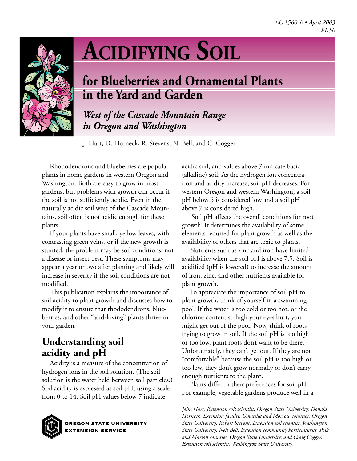

# **ACIDIFYING SOIL**

## **for Blueberries and Ornamental Plants in the Yard and Garden**

*West of the Cascade Mountain Range in Oregon and Washington*

J. Hart, D. Horneck, R. Stevens, N. Bell, and C. Cogger

Rhododendrons and blueberries are popular plants in home gardens in western Oregon and Washington. Both are easy to grow in most gardens, but problems with growth can occur if the soil is not sufficiently acidic. Even in the naturally acidic soil west of the Cascade Mountains, soil often is not acidic enough for these plants.

If your plants have small, yellow leaves, with contrasting green veins, or if the new growth is stunted, the problem may be soil conditions, not a disease or insect pest. These symptoms may appear a year or two after planting and likely will increase in severity if the soil conditions are not modified.

This publication explains the importance of soil acidity to plant growth and discusses how to modify it to ensure that rhododendrons, blueberries, and other "acid-loving" plants thrive in your garden.

## **Understanding soil acidity and pH**

Acidity is a measure of the concentration of hydrogen ions in the soil solution. (The soil solution is the water held between soil particles.) Soil acidity is expressed as soil pH, using a scale from 0 to 14. Soil pH values below 7 indicate



**OREGON STATE UNIVERSITY EXTENSION SERVICE** 

acidic soil, and values above 7 indicate basic (alkaline) soil. As the hydrogen ion concentration and acidity increase, soil pH decreases. For western Oregon and western Washington, a soil pH below 5 is considered low and a soil pH above 7 is considered high.

 Soil pH affects the overall conditions for root growth. It determines the availability of some elements required for plant growth as well as the availability of others that are toxic to plants.

Nutrients such as zinc and iron have limited availability when the soil pH is above 7.5. Soil is acidified (pH is lowered) to increase the amount of iron, zinc, and other nutrients available for plant growth.

To appreciate the importance of soil pH to plant growth, think of yourself in a swimming pool. If the water is too cold or too hot, or the chlorine content so high your eyes hurt, you might get out of the pool. Now, think of roots trying to grow in soil. If the soil pH is too high or too low, plant roots don't want to be there. Unfortunately, they can't get out. If they are not "comfortable" because the soil pH is too high or too low, they don't grow normally or don't carry enough nutrients to the plant.

Plants differ in their preferences for soil pH. For example, vegetable gardens produce well in a

*John Hart, Extension soil scientist, Oregon State University; Donald Horneck, Extension faculty, Umatilla and Morrow counties, Oregon State University; Robert Stevens, Extension soil scientist, Washington State University; Neil Bell, Extension community horticulturist, Polk and Marion counties, Oregon State University; and Craig Cogger, Extension soil scientist, Washington State University.*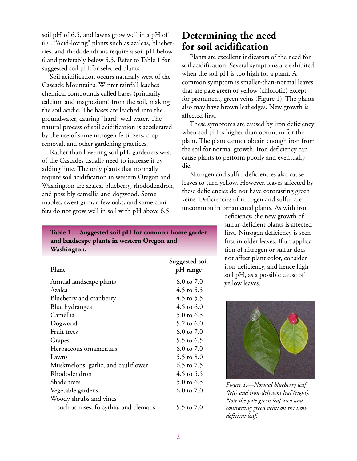soil pH of 6.5, and lawns grow well in a pH of 6.0. "Acid-loving" plants such as azaleas, blueberries, and rhododendrons require a soil pH below 6 and preferably below 5.5. Refer to Table 1 for suggested soil pH for selected plants.

Soil acidification occurs naturally west of the Cascade Mountains. Winter rainfall leaches chemical compounds called bases (primarily calcium and magnesium) from the soil, making the soil acidic. The bases are leached into the groundwater, causing "hard" well water. The natural process of soil acidification is accelerated by the use of some nitrogen fertilizers, crop removal, and other gardening practices.

Rather than lowering soil pH, gardeners west of the Cascades usually need to increase it by adding lime. The only plants that normally require soil acidification in western Oregon and Washington are azalea, blueberry, rhododendron, and possibly camellia and dogwood. Some maples, sweet gum, a few oaks, and some conifers do not grow well in soil with pH above 6.5.

## **Determining the need for soil acidification**

Plants are excellent indicators of the need for soil acidification. Several symptoms are exhibited when the soil pH is too high for a plant. A common symptom is smaller-than-normal leaves that are pale green or yellow (chlorotic) except for prominent, green veins (Figure 1). The plants also may have brown leaf edges. New growth is affected first.

These symptoms are caused by iron deficiency when soil pH is higher than optimum for the plant. The plant cannot obtain enough iron from the soil for normal growth. Iron deficiency can cause plants to perform poorly and eventually die.

Nitrogen and sulfur deficiencies also cause leaves to turn yellow. However, leaves affected by these deficiencies do not have contrasting green veins. Deficiencies of nitrogen and sulfur are uncommon in ornamental plants. As with iron

> deficiency, the new growth of sulfur-deficient plants is affected first. Nitrogen deficiency is seen first in older leaves. If an application of nitrogen or sulfur does not affect plant color, consider iron deficiency, and hence high soil pH, as a possible cause of yellow leaves.



*Figure 1.—Normal blueberry leaf (left) and iron-deficient leaf (right). Note the pale green leaf area and contrasting green veins on the irondeficient leaf.*

**Table 1.—Suggested soil pH for common home garden and landscape plants in western Oregon and Washington.**

| Plant                                  | Suggested soil<br>pH range |
|----------------------------------------|----------------------------|
| Annual landscape plants                | 6.0 to $7.0$               |
| Azalea                                 | 4.5 to 5.5                 |
| Blueberry and cranberry                | 4.5 to 5.5                 |
| Blue hydrangea                         | 4.5 to $6.0$               |
| Camellia                               | 5.0 to 6.5                 |
| Dogwood                                | 5.2 to 6.0                 |
| Fruit trees                            | 6.0 to $7.0$               |
| Grapes                                 | 5.5 to 6.5                 |
| Herbaceous ornamentals                 | 6.0 to $7.0$               |
| Lawns                                  | 5.5 to 8.0                 |
| Muskmelons, garlic, and cauliflower    | 6.5 to 7.5                 |
| Rhododendron                           | 4.5 to 5.5                 |
| Shade trees                            | 5.0 to 6.5                 |
| Vegetable gardens                      | 6.0 to $7.0$               |
| Woody shrubs and vines                 |                            |
| such as roses, forsythia, and clematis | 5.5 to 7.0                 |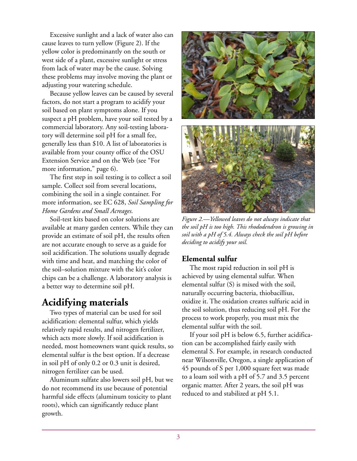Excessive sunlight and a lack of water also can cause leaves to turn yellow (Figure 2). If the yellow color is predominantly on the south or west side of a plant, excessive sunlight or stress from lack of water may be the cause. Solving these problems may involve moving the plant or adjusting your watering schedule.

Because yellow leaves can be caused by several factors, do not start a program to acidify your soil based on plant symptoms alone. If you suspect a pH problem, have your soil tested by a commercial laboratory. Any soil-testing laboratory will determine soil pH for a small fee, generally less than \$10. A list of laboratories is available from your county office of the OSU Extension Service and on the Web (see "For more information," page 6).

The first step in soil testing is to collect a soil sample. Collect soil from several locations, combining the soil in a single container. For more information, see EC 628, *Soil Sampling for Home Gardens and Small Acreages.*

Soil-test kits based on color solutions are available at many garden centers. While they can provide an estimate of soil pH, the results often are not accurate enough to serve as a guide for soil acidification. The solutions usually degrade with time and heat, and matching the color of the soil–solution mixture with the kit's color chips can be a challenge. A laboratory analysis is a better way to determine soil pH.

## **Acidifying materials**

Two types of material can be used for soil acidification: elemental sulfur, which yields relatively rapid results, and nitrogen fertilizer, which acts more slowly. If soil acidification is needed, most homeowners want quick results, so elemental sulfur is the best option. If a decrease in soil pH of only 0.2 or 0.3 unit is desired, nitrogen fertilizer can be used.

Aluminum sulfate also lowers soil pH, but we do not recommend its use because of potential harmful side effects (aluminum toxicity to plant roots), which can significantly reduce plant growth.



*Figure 2.—Yellowed leaves do not always indicate that the soil pH is too high. This rhododendron is growing in soil with a pH of 5.4. Always check the soil pH before deciding to acidify your soil.*

#### **Elemental sulfur**

The most rapid reduction in soil pH is achieved by using elemental sulfur. When elemental sulfur (S) is mixed with the soil, naturally occurring bacteria, thiobacillius, oxidize it. The oxidation creates sulfuric acid in the soil solution, thus reducing soil pH. For the process to work properly, you must mix the elemental sulfur with the soil.

If your soil pH is below 6.5, further acidification can be accomplished fairly easily with elemental S. For example, in research conducted near Wilsonville, Oregon, a single application of 45 pounds of S per 1,000 square feet was made to a loam soil with a pH of 5.7 and 3.5 percent organic matter. After 2 years, the soil pH was reduced to and stabilized at pH 5.1.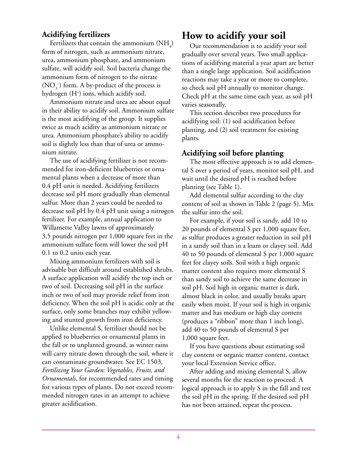### **Acidifying fertilizers**

Fertilizers that contain the ammonium  $(\mathrm{NH}_4)$ form of nitrogen, such as ammonium nitrate, urea, ammonium phosphate, and ammonium sulfate, will acidify soil. Soil bacteria change the ammonium form of nitrogen to the nitrate  $(\text{NO}_3^-)$  form. A by-product of the process is hydrogen (H+ ) ions, which acidify soil.

Ammonium nitrate and urea are about equal in their ability to acidify soil. Ammonium sulfate is the most acidifying of the group. It supplies twice as much acidity as ammonium nitrate or urea. Ammonium phosphate's ability to acidify soil is slightly less than that of urea or ammonium nitrate.

The use of acidifying fertilizer is not recommended for iron-deficient blueberries or ornamental plants when a decrease of more than 0.4 pH unit is needed. Acidifying fertilizers decrease soil pH more gradually than elemental sulfur. More than 2 years could be needed to decrease soil pH by 0.4 pH unit using a nitrogen fertilizer. For example, annual application to Willamette Valley lawns of approximately 3.5 pounds nitrogen per 1,000 square feet in the ammonium sulfate form will lower the soil pH 0.1 to 0.2 units each year.

Mixing ammonium fertilizers with soil is advisable but difficult around established shrubs. A surface application will acidify the top inch or two of soil. Decreasing soil pH in the surface inch or two of soil may provide relief from iron deficiency. When the soil pH is acidic only at the surface, only some branches may exhibit yellowing and stunted growth from iron deficiency.

Unlike elemental S, fertilizer should not be applied to blueberries or ornamental plants in the fall or to unplanted ground, as winter rains will carry nitrate down through the soil, where it can contaminate groundwater. See EC 1503, *Fertilizing Your Garden: Vegetables, Fruits, and Ornamentals*, for recommended rates and timing for various types of plants. Do not exceed recommended nitrogen rates in an attempt to achieve greater acidification.

## **How to acidify your soil**

Our recommendation is to acidify your soil gradually over several years. Two small applications of acidifying material a year apart are better than a single large application. Soil acidification reactions may take a year or more to complete, so check soil pH annually to monitor change. Check pH at the same time each year, as soil pH varies seasonally.

This section describes two procedures for acidifying soil: (1) soil acidification before planting, and (2) soil treatment for existing plants.

#### **Acidifying soil before planting**

The most effective approach is to add elemental S over a period of years, monitor soil pH, and wait until the desired pH is reached before planting (see Table 1).

Add elemental sulfur according to the clay content of soil as shown in Table 2 (page 5). Mix the sulfur into the soil.

For example, if your soil is sandy, add 10 to 20 pounds of elemental S per 1,000 square feet, as sulfur produces a greater reduction in soil pH in a sandy soil than in a loam or clayey soil. Add 40 to 50 pounds of elemental S per 1,000 square feet for clayey soils. Soil with a high organic matter content also requires more elemental S than sandy soil to achieve the same decrease in soil pH. Soil high in organic matter is dark, almost black in color, and usually breaks apart easily when moist. If your soil is high in organic matter and has medium or high clay content (produces a "ribbon" more than 1 inch long), add 40 to 50 pounds of elemental S per 1,000 square feet.

If you have questions about estimating soil clay content or organic matter content, contact your local Extension Service office.

After adding and mixing elemental S, allow several months for the reaction to proceed. A logical approach is to apply S in the fall and test the soil pH in the spring. If the desired soil pH has not been attained, repeat the process.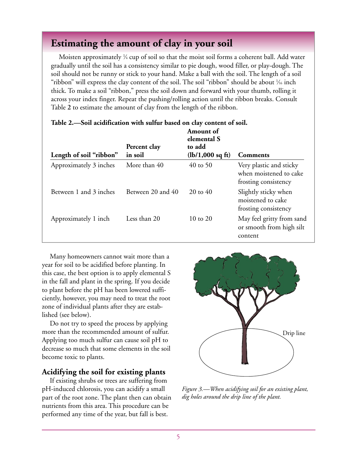## **Estimating the amount of clay in your soil**

Moisten approximately  $\frac{1}{4}$  cup of soil so that the moist soil forms a coherent ball. Add water gradually until the soil has a consistency similar to pie dough, wood filler, or play-dough. The soil should not be runny or stick to your hand. Make a ball with the soil. The length of a soil "ribbon" will express the clay content of the soil. The soil "ribbon" should be about  $\frac{1}{6}$  inch thick. To make a soil "ribbon," press the soil down and forward with your thumb, rolling it across your index finger. Repeat the pushing/rolling action until the ribbon breaks. Consult Table **2** to estimate the amount of clay from the length of the ribbon.

|                         | Percent clay      | <b>Amount</b> of<br>elemental S<br>to add |                                                                           |
|-------------------------|-------------------|-------------------------------------------|---------------------------------------------------------------------------|
| Length of soil "ribbon" | in soil           | $(lb/1,000 \text{ sq ft})$                | <b>Comments</b>                                                           |
| Approximately 3 inches  | More than 40      | $40$ to 50                                | Very plastic and sticky<br>when moistened to cake<br>frosting consistency |
| Between 1 and 3 inches  | Between 20 and 40 | $20 \text{ to } 40$                       | Slightly sticky when<br>moistened to cake<br>frosting consistency         |
| Approximately 1 inch    | Less than 20      | 10 to 20                                  | May feel gritty from sand<br>or smooth from high silt<br>content          |

#### **Table 2.—Soil acidification with sulfur based on clay content of soil.**

Many homeowners cannot wait more than a year for soil to be acidified before planting. In this case, the best option is to apply elemental S in the fall and plant in the spring. If you decide to plant before the pH has been lowered sufficiently, however, you may need to treat the root zone of individual plants after they are established (see below).

Do not try to speed the process by applying more than the recommended amount of sulfur. Applying too much sulfur can cause soil pH to decrease so much that some elements in the soil become toxic to plants.

#### **Acidifying the soil for existing plants**

If existing shrubs or trees are suffering from pH-induced chlorosis, you can acidify a small part of the root zone. The plant then can obtain nutrients from this area. This procedure can be performed any time of the year, but fall is best.



*Figure 3.—When acidifying soil for an existing plant, dig holes around the drip line of the plant.*